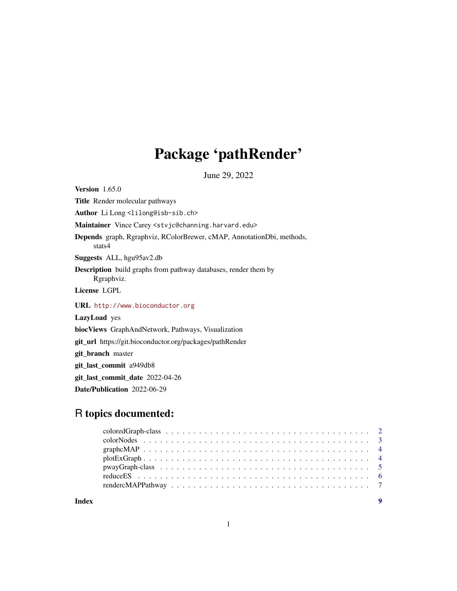## Package 'pathRender'

June 29, 2022

<span id="page-0-0"></span>Version 1.65.0 Title Render molecular pathways Author Li Long<lilong@isb-sib.ch> Maintainer Vince Carey <stvjc@channing.harvard.edu> Depends graph, Rgraphviz, RColorBrewer, cMAP, AnnotationDbi, methods, stats4 Suggests ALL, hgu95av2.db Description build graphs from pathway databases, render them by Rgraphviz. License LGPL URL <http://www.bioconductor.org> LazyLoad yes biocViews GraphAndNetwork, Pathways, Visualization git\_url https://git.bioconductor.org/packages/pathRender git\_branch master git\_last\_commit a949db8 git\_last\_commit\_date 2022-04-26 Date/Publication 2022-06-29

## R topics documented:

**Index** [9](#page-8-0)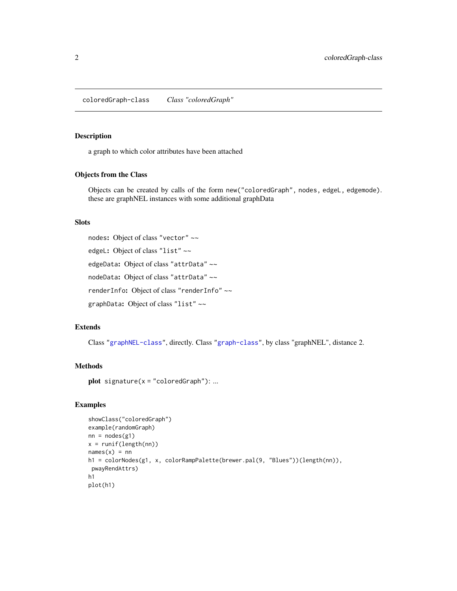<span id="page-1-0"></span>coloredGraph-class *Class "coloredGraph"*

### Description

a graph to which color attributes have been attached

#### Objects from the Class

Objects can be created by calls of the form new("coloredGraph", nodes, edgeL, edgemode). these are graphNEL instances with some additional graphData

#### Slots

```
nodes: Object of class "vector" ~~
```
edgeL: Object of class "list" ~~

edgeData: Object of class "attrData" ~~

nodeData: Object of class "attrData" ~~

renderInfo: Object of class "renderInfo" ~~

graphData: Object of class "list" ~~

#### Extends

Class ["graphNEL-class"](#page-0-0), directly. Class ["graph-class"](#page-0-0), by class "graphNEL", distance 2.

## Methods

plot  $signature(x = "coloredGraph")$ : ...

#### Examples

```
showClass("coloredGraph")
example(randomGraph)
nn = nodes(g1)x = runif(length(nn))names(x) = nnh1 = colorNodes(g1, x, colorRampPalette(brewer.pal(9, "Blues"))(length(nn)),
 pwayRendAttrs)
h1
plot(h1)
```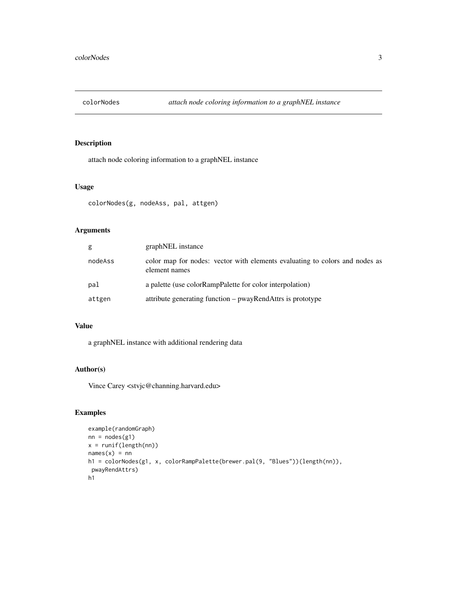<span id="page-2-0"></span>

## Description

attach node coloring information to a graphNEL instance

#### Usage

```
colorNodes(g, nodeAss, pal, attgen)
```
## Arguments

| g       | graphNEL instance                                                                            |
|---------|----------------------------------------------------------------------------------------------|
| nodeAss | color map for nodes: vector with elements evaluating to colors and nodes as<br>element names |
| pal     | a palette (use colorRampPalette for color interpolation)                                     |
| attgen  | attribute generating function – pwayRendAttrs is prototype                                   |

#### Value

a graphNEL instance with additional rendering data

## Author(s)

Vince Carey <stvjc@channing.harvard.edu>

## Examples

```
example(randomGraph)
nn = nodes(g1)x = runif(length(nn))names(x) = nnh1 = colorNodes(g1, x, colorRampPalette(brewer.pal(9, "Blues"))(length(nn)),
pwayRendAttrs)
h1
```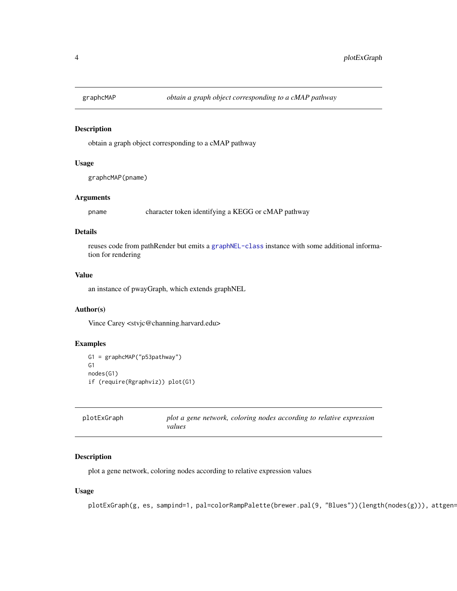<span id="page-3-0"></span>

## Description

obtain a graph object corresponding to a cMAP pathway

## Usage

graphcMAP(pname)

## Arguments

pname character token identifying a KEGG or cMAP pathway

## Details

reuses code from pathRender but emits a [graphNEL-class](#page-0-0) instance with some additional information for rendering

## Value

an instance of pwayGraph, which extends graphNEL

#### Author(s)

Vince Carey <stvjc@channing.harvard.edu>

#### Examples

```
G1 = graphcMAP("p53pathway")
G1
nodes(G1)
if (require(Rgraphviz)) plot(G1)
```

| plotExGraph | plot a gene network, coloring nodes according to relative expression |
|-------------|----------------------------------------------------------------------|
|             | values                                                               |

## Description

plot a gene network, coloring nodes according to relative expression values

## Usage

plotExGraph(g, es, sampind=1, pal=colorRampPalette(brewer.pal(9, "Blues"))(length(nodes(g))), attgen=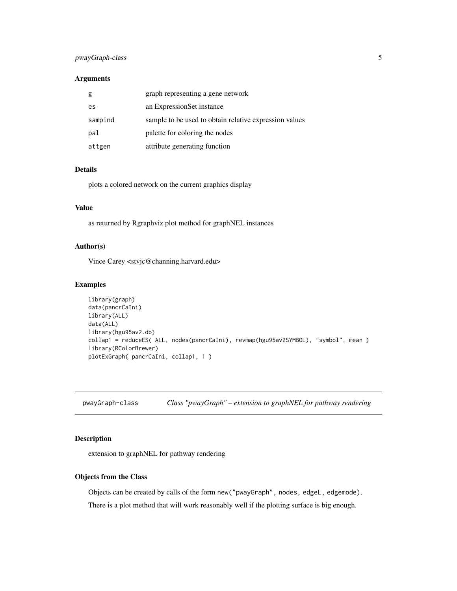## <span id="page-4-0"></span>pwayGraph-class 5

#### Arguments

| g       | graph representing a gene network                      |
|---------|--------------------------------------------------------|
| es      | an ExpressionSet instance                              |
| sampind | sample to be used to obtain relative expression values |
| pal     | palette for coloring the nodes                         |
| attgen  | attribute generating function                          |

#### Details

plots a colored network on the current graphics display

### Value

as returned by Rgraphviz plot method for graphNEL instances

## Author(s)

Vince Carey <stvjc@channing.harvard.edu>

#### Examples

```
library(graph)
data(pancrCaIni)
library(ALL)
data(ALL)
library(hgu95av2.db)
collap1 = reduceES( ALL, nodes(pancrCaIni), revmap(hgu95av2SYMBOL), "symbol", mean )
library(RColorBrewer)
plotExGraph( pancrCaIni, collap1, 1 )
```
pwayGraph-class *Class "pwayGraph" – extension to graphNEL for pathway rendering*

## Description

extension to graphNEL for pathway rendering

#### Objects from the Class

Objects can be created by calls of the form new("pwayGraph", nodes, edgeL, edgemode). There is a plot method that will work reasonably well if the plotting surface is big enough.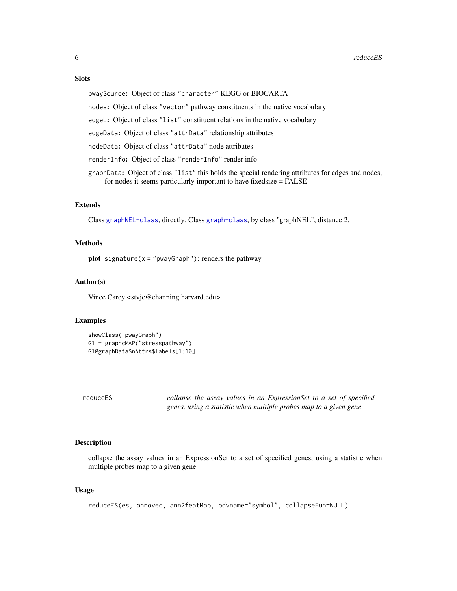## <span id="page-5-0"></span>**Slots**

pwaySource: Object of class "character" KEGG or BIOCARTA

nodes: Object of class "vector" pathway constituents in the native vocabulary

edgeL: Object of class "list" constituent relations in the native vocabulary

edgeData: Object of class "attrData" relationship attributes

nodeData: Object of class "attrData" node attributes

renderInfo: Object of class "renderInfo" render info

graphData: Object of class "list" this holds the special rendering attributes for edges and nodes, for nodes it seems particularly important to have fixedsize = FALSE

#### Extends

Class [graphNEL-class](#page-0-0), directly. Class [graph-class](#page-0-0), by class "graphNEL", distance 2.

## Methods

**plot** signature( $x = "pwayGraph")$ : renders the pathway

#### Author(s)

Vince Carey <stvjc@channing.harvard.edu>

## Examples

```
showClass("pwayGraph")
G1 = graphcMAP("stresspathway")
G1@graphData$nAttrs$labels[1:10]
```
reduceES *collapse the assay values in an ExpressionSet to a set of specified genes, using a statistic when multiple probes map to a given gene*

#### Description

collapse the assay values in an ExpressionSet to a set of specified genes, using a statistic when multiple probes map to a given gene

#### Usage

```
reduceES(es, annovec, ann2featMap, pdvname="symbol", collapseFun=NULL)
```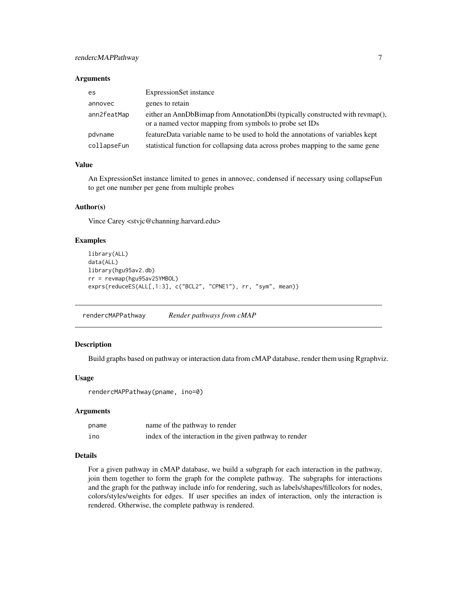## <span id="page-6-0"></span>rendercMAPPathway 7

#### **Arguments**

| es          | <b>ExpressionSet</b> instance                                                                                                            |
|-------------|------------------------------------------------------------------------------------------------------------------------------------------|
| annovec     | genes to retain                                                                                                                          |
| ann2featMap | either an AnnDbBimap from AnnotationDbi (typically constructed with revmap(),<br>or a named vector mapping from symbols to probe set IDs |
| pdvname     | featureData variable name to be used to hold the annotations of variables kept                                                           |
| collapseFun | statistical function for collapsing data across probes mapping to the same gene                                                          |

## Value

An ExpressionSet instance limited to genes in annovec, condensed if necessary using collapseFun to get one number per gene from multiple probes

#### Author(s)

Vince Carey <stvjc@channing.harvard.edu>

#### Examples

```
library(ALL)
data(ALL)
library(hgu95av2.db)
rr = revmap(hgu95av2SYMBOL)
exprs(reduceES(ALL[,1:3], c("BCL2", "CPNE1"), rr, "sym", mean))
```
rendercMAPPathway *Render pathways from cMAP*

#### Description

Build graphs based on pathway or interaction data from cMAP database, render them using Rgraphviz.

#### Usage

rendercMAPPathway(pname, ino=0)

#### Arguments

| pname | name of the pathway to render                           |
|-------|---------------------------------------------------------|
| ino   | index of the interaction in the given pathway to render |

## Details

For a given pathway in cMAP database, we build a subgraph for each interaction in the pathway, join them together to form the graph for the complete pathway. The subgraphs for interactions and the graph for the pathway include info for rendering, such as labels/shapes/fillcolors for nodes, colors/styles/weights for edges. If user specifies an index of interaction, only the interaction is rendered. Otherwise, the complete pathway is rendered.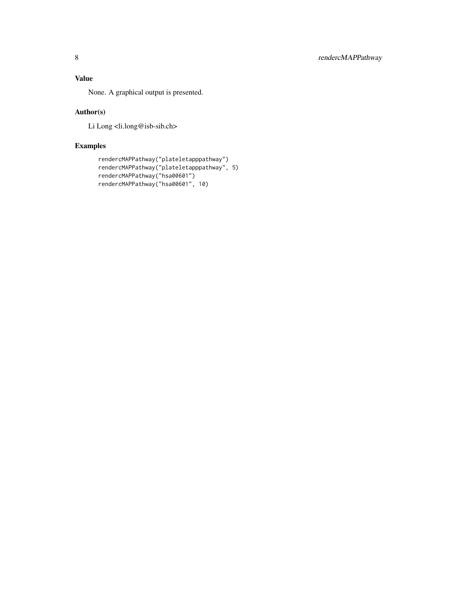## Value

None. A graphical output is presented.

## Author(s)

Li Long <li.long@isb-sib.ch>

## Examples

```
rendercMAPPathway("plateletapppathway")
rendercMAPPathway("plateletapppathway", 5)
rendercMAPPathway("hsa00601")
rendercMAPPathway("hsa00601", 10)
```